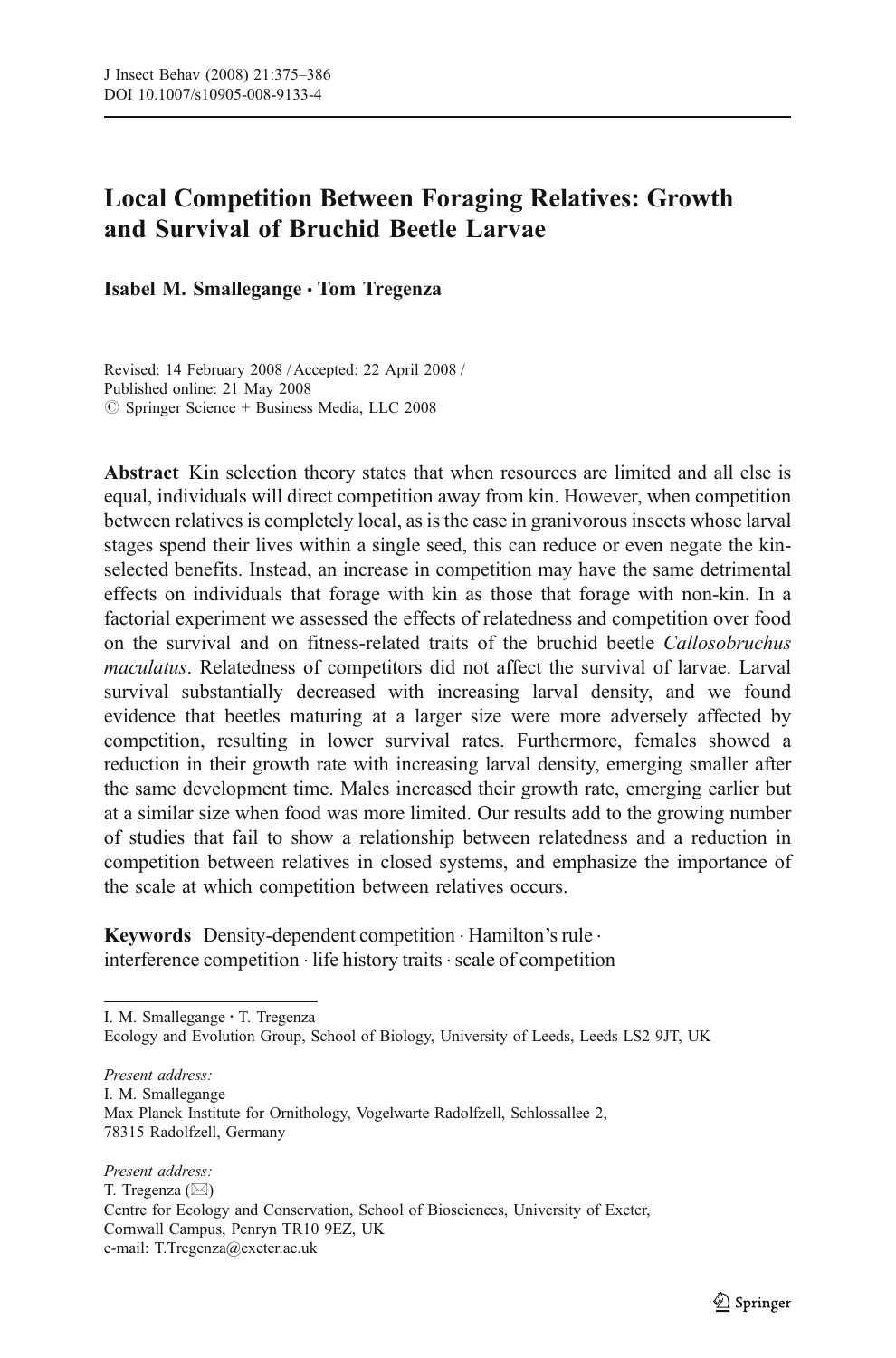# Local Competition Between Foraging Relatives: Growth and Survival of Bruchid Beetle Larvae

Isabel M. Smallegange *&* Tom Tregenza

Revised: 14 February 2008 / Accepted: 22 April 2008 / Published online: 21 May 2008  $\oslash$  Springer Science + Business Media, LLC 2008

Abstract Kin selection theory states that when resources are limited and all else is equal, individuals will direct competition away from kin. However, when competition between relatives is completely local, as is the case in granivorous insects whose larval stages spend their lives within a single seed, this can reduce or even negate the kinselected benefits. Instead, an increase in competition may have the same detrimental effects on individuals that forage with kin as those that forage with non-kin. In a factorial experiment we assessed the effects of relatedness and competition over food on the survival and on fitness-related traits of the bruchid beetle Callosobruchus maculatus. Relatedness of competitors did not affect the survival of larvae. Larval survival substantially decreased with increasing larval density, and we found evidence that beetles maturing at a larger size were more adversely affected by competition, resulting in lower survival rates. Furthermore, females showed a reduction in their growth rate with increasing larval density, emerging smaller after the same development time. Males increased their growth rate, emerging earlier but at a similar size when food was more limited. Our results add to the growing number of studies that fail to show a relationship between relatedness and a reduction in competition between relatives in closed systems, and emphasize the importance of the scale at which competition between relatives occurs.

Keywords Density-dependent competition . Hamilton's rule . interference competition  $\cdot$  life history traits  $\cdot$  scale of competition

I. M. Smallegange · T. Tregenza

Ecology and Evolution Group, School of Biology, University of Leeds, Leeds LS2 9JT, UK

Present address: I. M. Smallegange Max Planck Institute for Ornithology, Vogelwarte Radolfzell, Schlossallee 2, 78315 Radolfzell, Germany

Present address: T. Tregenza ( $\boxtimes$ ) Centre for Ecology and Conservation, School of Biosciences, University of Exeter, Cornwall Campus, Penryn TR10 9EZ, UK e-mail: T.Tregenza@exeter.ac.uk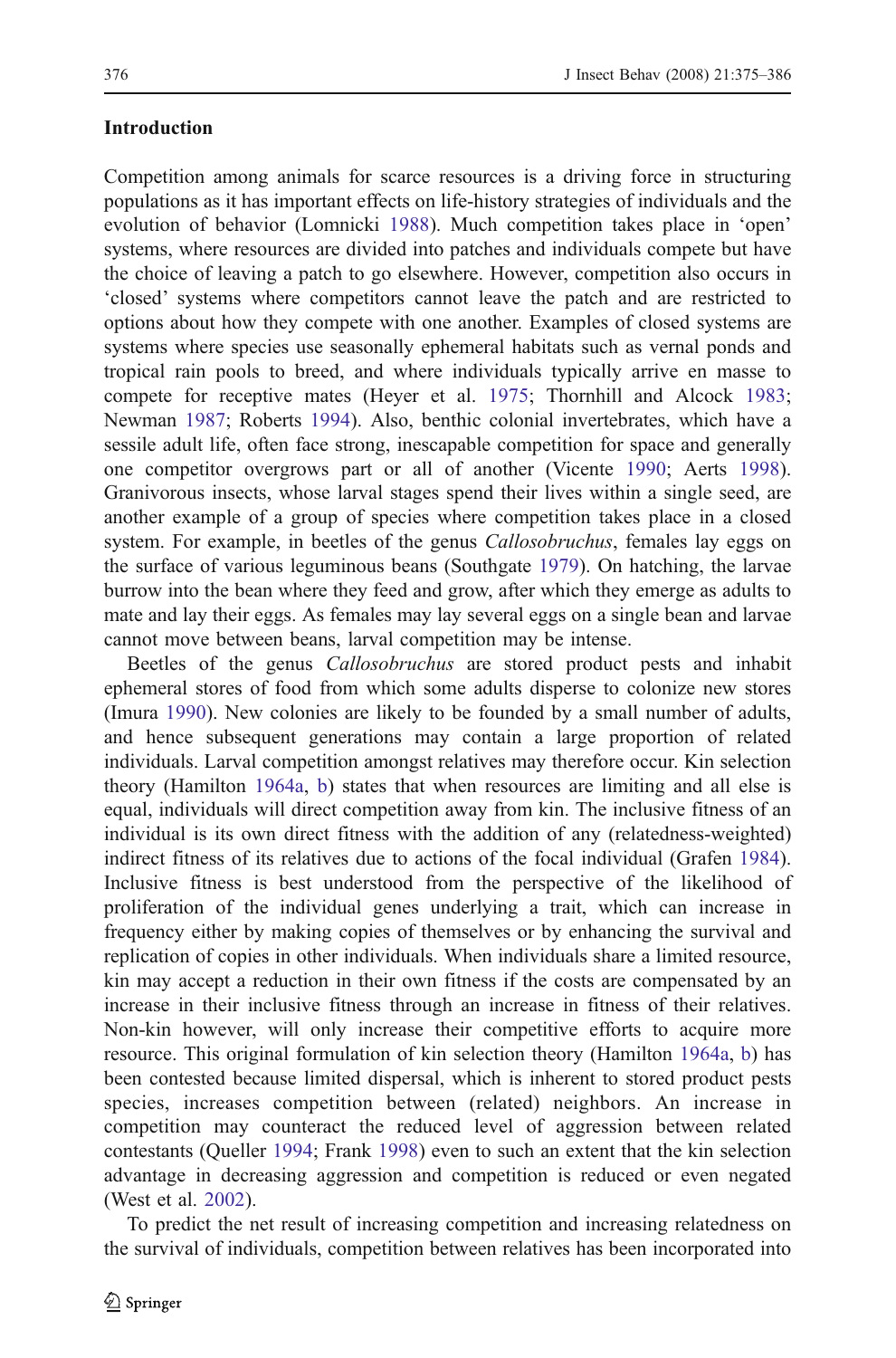## Introduction

Competition among animals for scarce resources is a driving force in structuring populations as it has important effects on life-history strategies of individuals and the evolution of behavior (Lomnicki [1988\)](#page-10-0). Much competition takes place in 'open' systems, where resources are divided into patches and individuals compete but have the choice of leaving a patch to go elsewhere. However, competition also occurs in 'closed' systems where competitors cannot leave the patch and are restricted to options about how they compete with one another. Examples of closed systems are systems where species use seasonally ephemeral habitats such as vernal ponds and tropical rain pools to breed, and where individuals typically arrive en masse to compete for receptive mates (Heyer et al. [1975;](#page-10-0) Thornhill and Alcock [1983;](#page-11-0) Newman [1987;](#page-10-0) Roberts [1994](#page-11-0)). Also, benthic colonial invertebrates, which have a sessile adult life, often face strong, inescapable competition for space and generally one competitor overgrows part or all of another (Vicente [1990;](#page-11-0) Aerts [1998\)](#page-9-0). Granivorous insects, whose larval stages spend their lives within a single seed, are another example of a group of species where competition takes place in a closed system. For example, in beetles of the genus *Callosobruchus*, females lay eggs on the surface of various leguminous beans (Southgate [1979](#page-11-0)). On hatching, the larvae burrow into the bean where they feed and grow, after which they emerge as adults to mate and lay their eggs. As females may lay several eggs on a single bean and larvae cannot move between beans, larval competition may be intense.

Beetles of the genus Callosobruchus are stored product pests and inhabit ephemeral stores of food from which some adults disperse to colonize new stores (Imura [1990](#page-10-0)). New colonies are likely to be founded by a small number of adults, and hence subsequent generations may contain a large proportion of related individuals. Larval competition amongst relatives may therefore occur. Kin selection theory (Hamilton [1964a](#page-10-0), [b\)](#page-10-0) states that when resources are limiting and all else is equal, individuals will direct competition away from kin. The inclusive fitness of an individual is its own direct fitness with the addition of any (relatedness-weighted) indirect fitness of its relatives due to actions of the focal individual (Grafen [1984\)](#page-10-0). Inclusive fitness is best understood from the perspective of the likelihood of proliferation of the individual genes underlying a trait, which can increase in frequency either by making copies of themselves or by enhancing the survival and replication of copies in other individuals. When individuals share a limited resource, kin may accept a reduction in their own fitness if the costs are compensated by an increase in their inclusive fitness through an increase in fitness of their relatives. Non-kin however, will only increase their competitive efforts to acquire more resource. This original formulation of kin selection theory (Hamilton [1964a,](#page-10-0) [b\)](#page-10-0) has been contested because limited dispersal, which is inherent to stored product pests species, increases competition between (related) neighbors. An increase in competition may counteract the reduced level of aggression between related contestants (Queller [1994;](#page-10-0) Frank [1998](#page-10-0)) even to such an extent that the kin selection advantage in decreasing aggression and competition is reduced or even negated (West et al. [2002](#page-11-0)).

To predict the net result of increasing competition and increasing relatedness on the survival of individuals, competition between relatives has been incorporated into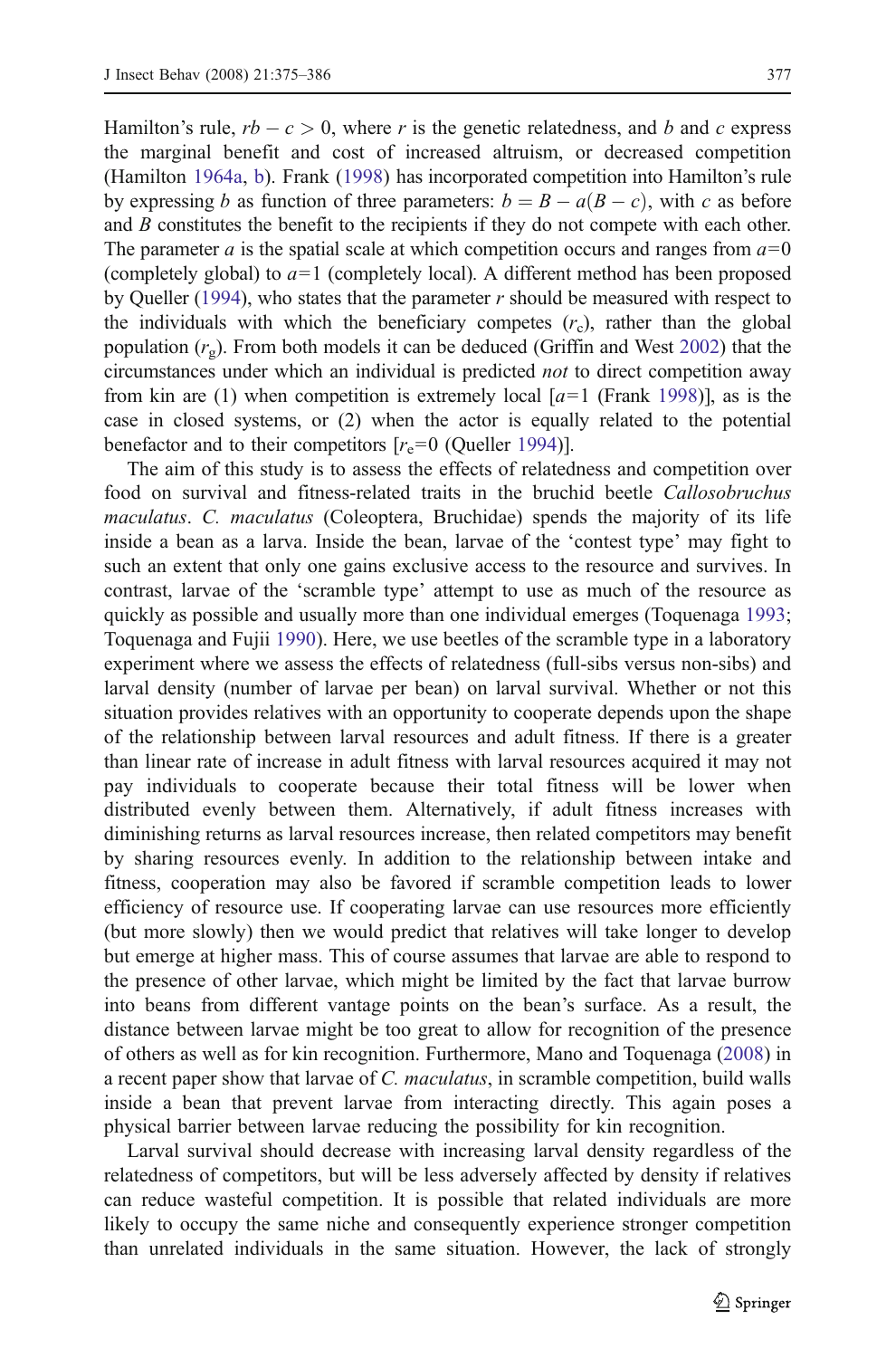Hamilton's rule,  $rb - c > 0$ , where r is the genetic relatedness, and b and c express the marginal benefit and cost of increased altruism, or decreased competition (Hamilton [1964a](#page-10-0), [b\)](#page-10-0). Frank [\(1998](#page-10-0)) has incorporated competition into Hamilton's rule by expressing b as function of three parameters:  $b = B - a(B - c)$ , with c as before and  $B$  constitutes the benefit to the recipients if they do not compete with each other. The parameter a is the spatial scale at which competition occurs and ranges from  $a=0$ (completely global) to  $a=1$  (completely local). A different method has been proposed by Queller [\(1994](#page-10-0)), who states that the parameter  $r$  should be measured with respect to the individuals with which the beneficiary competes  $(r<sub>c</sub>)$ , rather than the global population  $(r<sub>o</sub>)$ . From both models it can be deduced (Griffin and West [2002](#page-10-0)) that the circumstances under which an individual is predicted not to direct competition away from kin are (1) when competition is extremely local  $[a=1]$  (Frank [1998](#page-10-0)), as is the case in closed systems, or (2) when the actor is equally related to the potential benefactor and to their competitors  $[r_e=0 \text{ (Queller 1994)}]$  $[r_e=0 \text{ (Queller 1994)}]$  $[r_e=0 \text{ (Queller 1994)}]$ .

The aim of this study is to assess the effects of relatedness and competition over food on survival and fitness-related traits in the bruchid beetle Callosobruchus maculatus. C. maculatus (Coleoptera, Bruchidae) spends the majority of its life inside a bean as a larva. Inside the bean, larvae of the 'contest type' may fight to such an extent that only one gains exclusive access to the resource and survives. In contrast, larvae of the 'scramble type' attempt to use as much of the resource as quickly as possible and usually more than one individual emerges (Toquenaga [1993;](#page-11-0) Toquenaga and Fujii [1990](#page-11-0)). Here, we use beetles of the scramble type in a laboratory experiment where we assess the effects of relatedness (full-sibs versus non-sibs) and larval density (number of larvae per bean) on larval survival. Whether or not this situation provides relatives with an opportunity to cooperate depends upon the shape of the relationship between larval resources and adult fitness. If there is a greater than linear rate of increase in adult fitness with larval resources acquired it may not pay individuals to cooperate because their total fitness will be lower when distributed evenly between them. Alternatively, if adult fitness increases with diminishing returns as larval resources increase, then related competitors may benefit by sharing resources evenly. In addition to the relationship between intake and fitness, cooperation may also be favored if scramble competition leads to lower efficiency of resource use. If cooperating larvae can use resources more efficiently (but more slowly) then we would predict that relatives will take longer to develop but emerge at higher mass. This of course assumes that larvae are able to respond to the presence of other larvae, which might be limited by the fact that larvae burrow into beans from different vantage points on the bean's surface. As a result, the distance between larvae might be too great to allow for recognition of the presence of others as well as for kin recognition. Furthermore, Mano and Toquenaga ([2008\)](#page-10-0) in a recent paper show that larvae of C. maculatus, in scramble competition, build walls inside a bean that prevent larvae from interacting directly. This again poses a physical barrier between larvae reducing the possibility for kin recognition.

Larval survival should decrease with increasing larval density regardless of the relatedness of competitors, but will be less adversely affected by density if relatives can reduce wasteful competition. It is possible that related individuals are more likely to occupy the same niche and consequently experience stronger competition than unrelated individuals in the same situation. However, the lack of strongly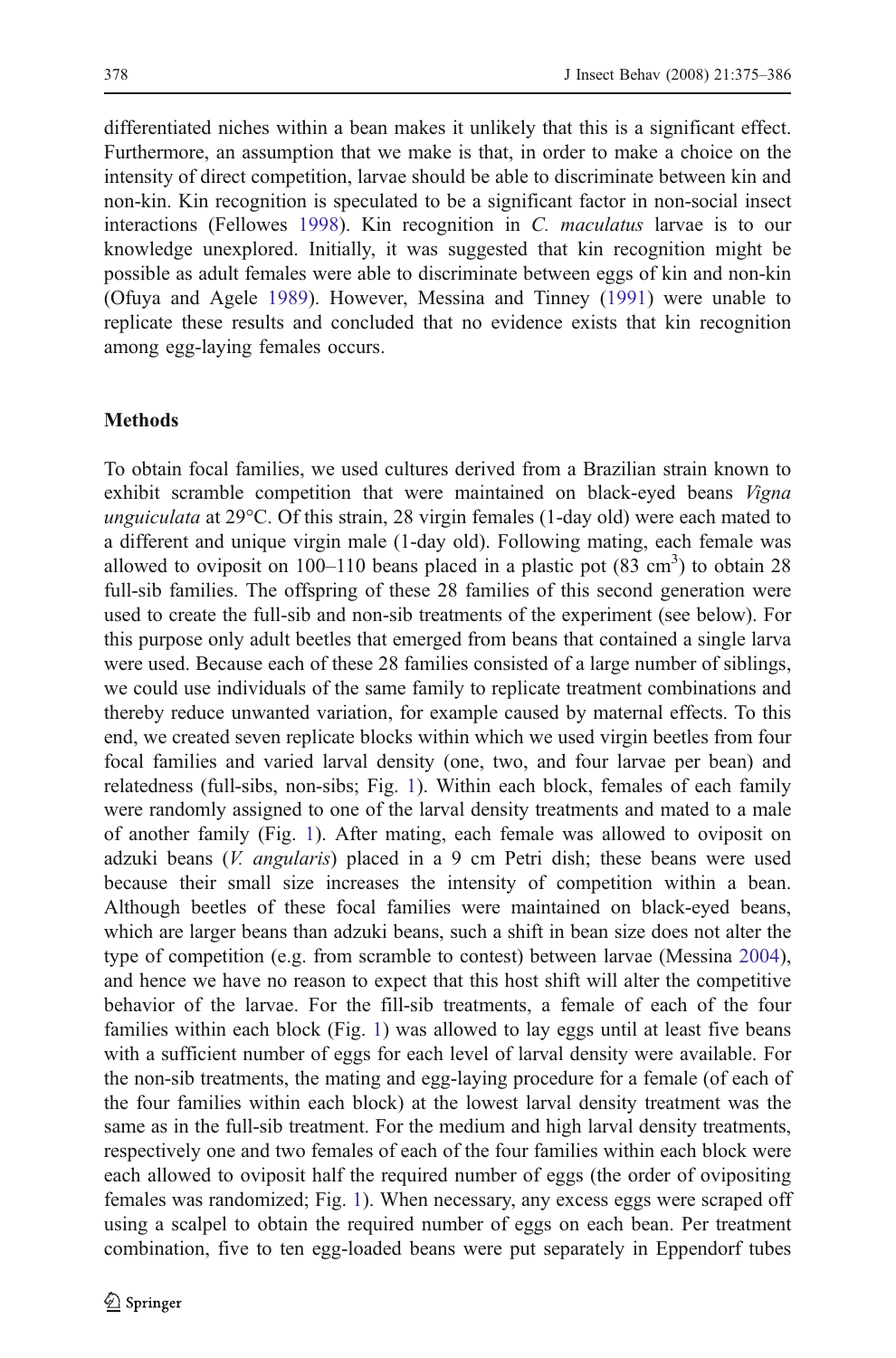differentiated niches within a bean makes it unlikely that this is a significant effect. Furthermore, an assumption that we make is that, in order to make a choice on the intensity of direct competition, larvae should be able to discriminate between kin and non-kin. Kin recognition is speculated to be a significant factor in non-social insect interactions (Fellowes [1998](#page-9-0)). Kin recognition in C. maculatus larvae is to our knowledge unexplored. Initially, it was suggested that kin recognition might be possible as adult females were able to discriminate between eggs of kin and non-kin (Ofuya and Agele [1989](#page-10-0)). However, Messina and Tinney ([1991\)](#page-10-0) were unable to replicate these results and concluded that no evidence exists that kin recognition among egg-laying females occurs.

### Methods

To obtain focal families, we used cultures derived from a Brazilian strain known to exhibit scramble competition that were maintained on black-eyed beans *Vigna* unguiculata at  $29^{\circ}$ C. Of this strain, 28 virgin females (1-day old) were each mated to a different and unique virgin male (1-day old). Following mating, each female was allowed to oviposit on  $100-110$  beans placed in a plastic pot  $(83 \text{ cm}^3)$  to obtain 28 full-sib families. The offspring of these 28 families of this second generation were used to create the full-sib and non-sib treatments of the experiment (see below). For this purpose only adult beetles that emerged from beans that contained a single larva were used. Because each of these 28 families consisted of a large number of siblings, we could use individuals of the same family to replicate treatment combinations and thereby reduce unwanted variation, for example caused by maternal effects. To this end, we created seven replicate blocks within which we used virgin beetles from four focal families and varied larval density (one, two, and four larvae per bean) and relatedness (full-sibs, non-sibs; Fig. [1](#page-4-0)). Within each block, females of each family were randomly assigned to one of the larval density treatments and mated to a male of another family (Fig. [1\)](#page-4-0). After mating, each female was allowed to oviposit on adzuki beans (*V. angularis*) placed in a 9 cm Petri dish; these beans were used because their small size increases the intensity of competition within a bean. Although beetles of these focal families were maintained on black-eyed beans, which are larger beans than adzuki beans, such a shift in bean size does not alter the type of competition (e.g. from scramble to contest) between larvae (Messina [2004\)](#page-10-0), and hence we have no reason to expect that this host shift will alter the competitive behavior of the larvae. For the fill-sib treatments, a female of each of the four families within each block (Fig. [1\)](#page-4-0) was allowed to lay eggs until at least five beans with a sufficient number of eggs for each level of larval density were available. For the non-sib treatments, the mating and egg-laying procedure for a female (of each of the four families within each block) at the lowest larval density treatment was the same as in the full-sib treatment. For the medium and high larval density treatments, respectively one and two females of each of the four families within each block were each allowed to oviposit half the required number of eggs (the order of ovipositing females was randomized; Fig. [1\)](#page-4-0). When necessary, any excess eggs were scraped off using a scalpel to obtain the required number of eggs on each bean. Per treatment combination, five to ten egg-loaded beans were put separately in Eppendorf tubes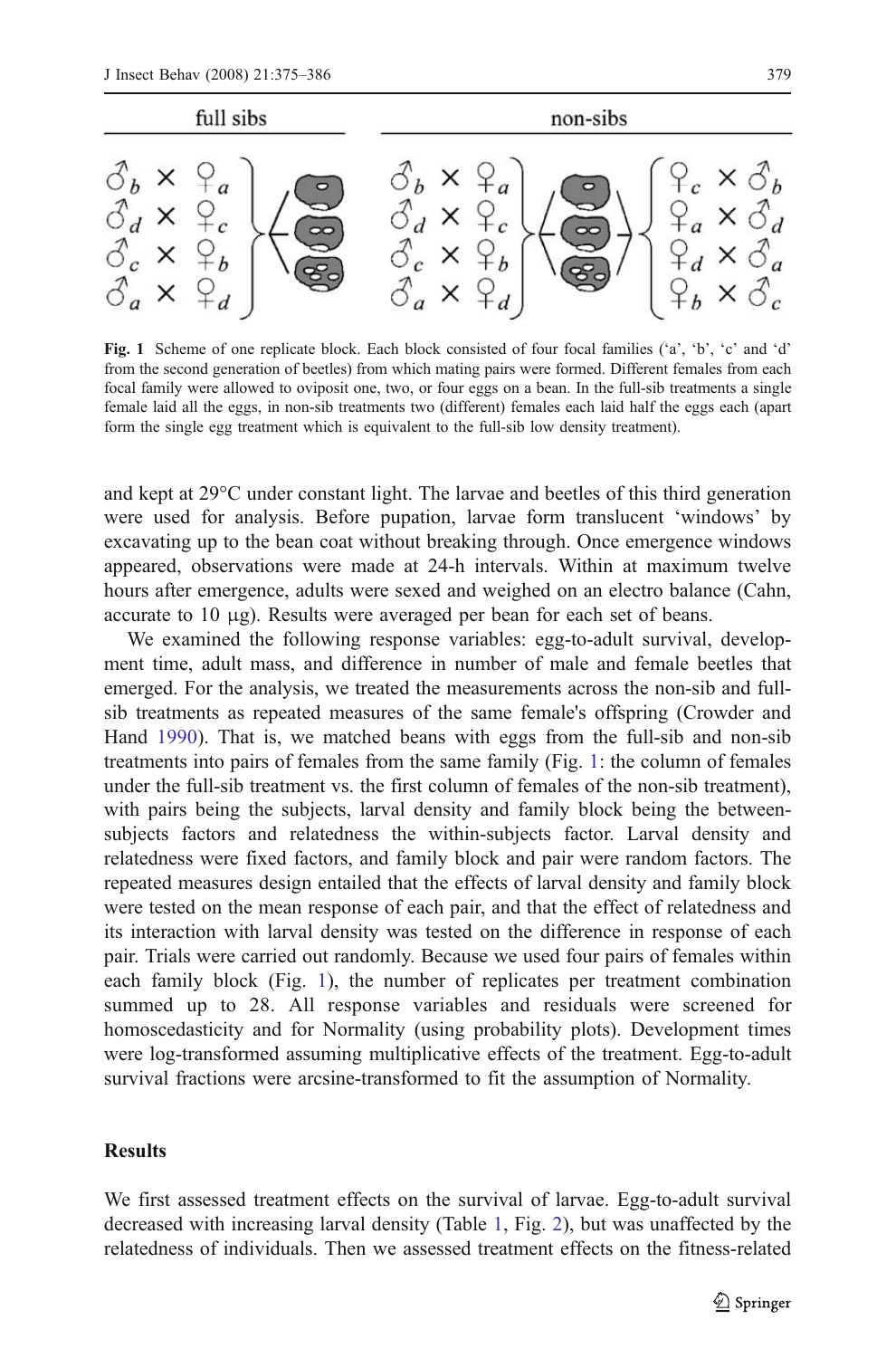<span id="page-4-0"></span>

Fig. 1 Scheme of one replicate block. Each block consisted of four focal families ('a', 'b', 'c' and 'd' from the second generation of beetles) from which mating pairs were formed. Different females from each focal family were allowed to oviposit one, two, or four eggs on a bean. In the full-sib treatments a single female laid all the eggs, in non-sib treatments two (different) females each laid half the eggs each (apart form the single egg treatment which is equivalent to the full-sib low density treatment).

and kept at 29°C under constant light. The larvae and beetles of this third generation were used for analysis. Before pupation, larvae form translucent 'windows' by excavating up to the bean coat without breaking through. Once emergence windows appeared, observations were made at 24-h intervals. Within at maximum twelve hours after emergence, adults were sexed and weighed on an electro balance (Cahn, accurate to 10 μg). Results were averaged per bean for each set of beans.

We examined the following response variables: egg-to-adult survival, development time, adult mass, and difference in number of male and female beetles that emerged. For the analysis, we treated the measurements across the non-sib and fullsib treatments as repeated measures of the same female's offspring (Crowder and Hand [1990\)](#page-9-0). That is, we matched beans with eggs from the full-sib and non-sib treatments into pairs of females from the same family (Fig. 1: the column of females under the full-sib treatment vs. the first column of females of the non-sib treatment), with pairs being the subjects, larval density and family block being the betweensubjects factors and relatedness the within-subjects factor. Larval density and relatedness were fixed factors, and family block and pair were random factors. The repeated measures design entailed that the effects of larval density and family block were tested on the mean response of each pair, and that the effect of relatedness and its interaction with larval density was tested on the difference in response of each pair. Trials were carried out randomly. Because we used four pairs of females within each family block (Fig. 1), the number of replicates per treatment combination summed up to 28. All response variables and residuals were screened for homoscedasticity and for Normality (using probability plots). Development times were log-transformed assuming multiplicative effects of the treatment. Egg-to-adult survival fractions were arcsine-transformed to fit the assumption of Normality.

# **Results**

We first assessed treatment effects on the survival of larvae. Egg-to-adult survival decreased with increasing larval density (Table [1,](#page-5-0) Fig. [2](#page-6-0)), but was unaffected by the relatedness of individuals. Then we assessed treatment effects on the fitness-related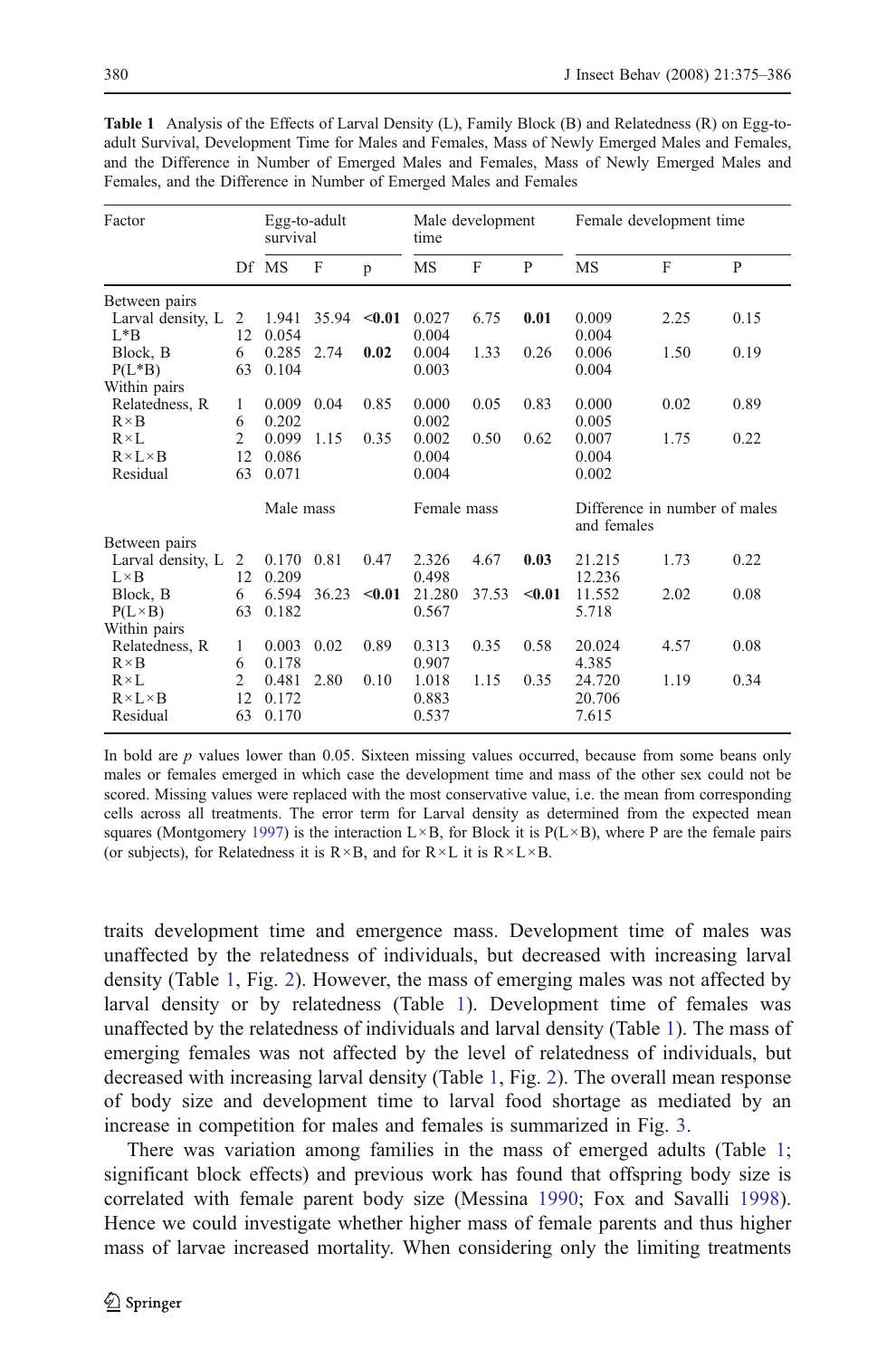| Factor                                            |                            | Egg-to-adult<br>survival |       |        | Male development<br>time |       |        | Female development time                      |      |      |
|---------------------------------------------------|----------------------------|--------------------------|-------|--------|--------------------------|-------|--------|----------------------------------------------|------|------|
|                                                   |                            | Df MS                    | F     | p      | MS                       | F     | P      | MS                                           | F    | P    |
| Between pairs                                     |                            |                          |       |        |                          |       |        |                                              |      |      |
| Larval density, L<br>$L^*B$                       | 2<br>12                    | 1.941<br>0.054           | 35.94 | $0.01$ | 0.027<br>0.004           | 6.75  | 0.01   | 0.009<br>0.004                               | 2.25 | 0.15 |
| Block, B<br>$P(L*B)$                              | 6<br>63                    | 0.285<br>0.104           | 2.74  | 0.02   | 0.004<br>0.003           | 1.33  | 0.26   | 0.006<br>0.004                               | 1.50 | 0.19 |
| Within pairs                                      |                            |                          |       |        |                          |       |        |                                              |      |      |
| Relatedness, R<br>$R \times B$                    | 1<br>6                     | 0.009<br>0.202           | 0.04  | 0.85   | 0.000<br>0.002           | 0.05  | 0.83   | 0.000<br>0.005                               | 0.02 | 0.89 |
| $R \times L$                                      | $\overline{c}$             | 0.099                    | 1.15  | 0.35   | 0.002                    | 0.50  | 0.62   | 0.007                                        | 1.75 | 0.22 |
| $R \times L \times B$                             | 12                         | 0.086                    |       |        | 0.004                    |       |        | 0.004                                        |      |      |
| Residual                                          | 63                         | 0.071                    |       |        | 0.004                    |       |        | 0.002                                        |      |      |
|                                                   |                            | Male mass                |       |        | Female mass              |       |        | Difference in number of males<br>and females |      |      |
| Between pairs                                     |                            |                          |       |        |                          |       |        |                                              |      |      |
| Larval density, L<br>$L \times B$                 | 2<br>12                    | 0.170<br>0.209           | 0.81  | 0.47   | 2.326<br>0.498           | 4.67  | 0.03   | 21.215<br>12.236                             | 1.73 | 0.22 |
| Block, B<br>$P(L \times B)$                       | 6<br>63                    | 6.594<br>0.182           | 36.23 | < 0.01 | 21.280<br>0.567          | 37.53 | < 0.01 | 11.552<br>5.718                              | 2.02 | 0.08 |
| Within pairs                                      |                            |                          |       |        |                          |       |        |                                              |      |      |
| Relatedness, R<br>$R \times B$                    | 1<br>6                     | 0.003<br>0.178           | 0.02  | 0.89   | 0.313<br>0.907           | 0.35  | 0.58   | 20.024<br>4.385                              | 4.57 | 0.08 |
| $R \times L$<br>$R \times L \times B$<br>Residual | $\overline{c}$<br>12<br>63 | 0.481<br>0.172<br>0.170  | 2.80  | 0.10   | 1.018<br>0.883<br>0.537  | 1.15  | 0.35   | 24.720<br>20.706<br>7.615                    | 1.19 | 0.34 |

<span id="page-5-0"></span>Table 1 Analysis of the Effects of Larval Density (L), Family Block (B) and Relatedness (R) on Egg-toadult Survival, Development Time for Males and Females, Mass of Newly Emerged Males and Females, and the Difference in Number of Emerged Males and Females, Mass of Newly Emerged Males and Females, and the Difference in Number of Emerged Males and Females

In bold are  $p$  values lower than 0.05. Sixteen missing values occurred, because from some beans only males or females emerged in which case the development time and mass of the other sex could not be scored. Missing values were replaced with the most conservative value, i.e. the mean from corresponding cells across all treatments. The error term for Larval density as determined from the expected mean squares (Montgomery [1997](#page-10-0)) is the interaction  $L \times B$ , for Block it is  $P(L \times B)$ , where P are the female pairs (or subjects), for Relatedness it is  $R \times B$ , and for  $R \times L$  it is  $R \times L \times B$ .

traits development time and emergence mass. Development time of males was unaffected by the relatedness of individuals, but decreased with increasing larval density (Table 1, Fig. [2\)](#page-6-0). However, the mass of emerging males was not affected by larval density or by relatedness (Table 1). Development time of females was unaffected by the relatedness of individuals and larval density (Table 1). The mass of emerging females was not affected by the level of relatedness of individuals, but decreased with increasing larval density (Table 1, Fig. [2](#page-6-0)). The overall mean response of body size and development time to larval food shortage as mediated by an increase in competition for males and females is summarized in Fig. [3.](#page-7-0)

There was variation among families in the mass of emerged adults (Table 1; significant block effects) and previous work has found that offspring body size is correlated with female parent body size (Messina [1990;](#page-10-0) Fox and Savalli [1998\)](#page-10-0). Hence we could investigate whether higher mass of female parents and thus higher mass of larvae increased mortality. When considering only the limiting treatments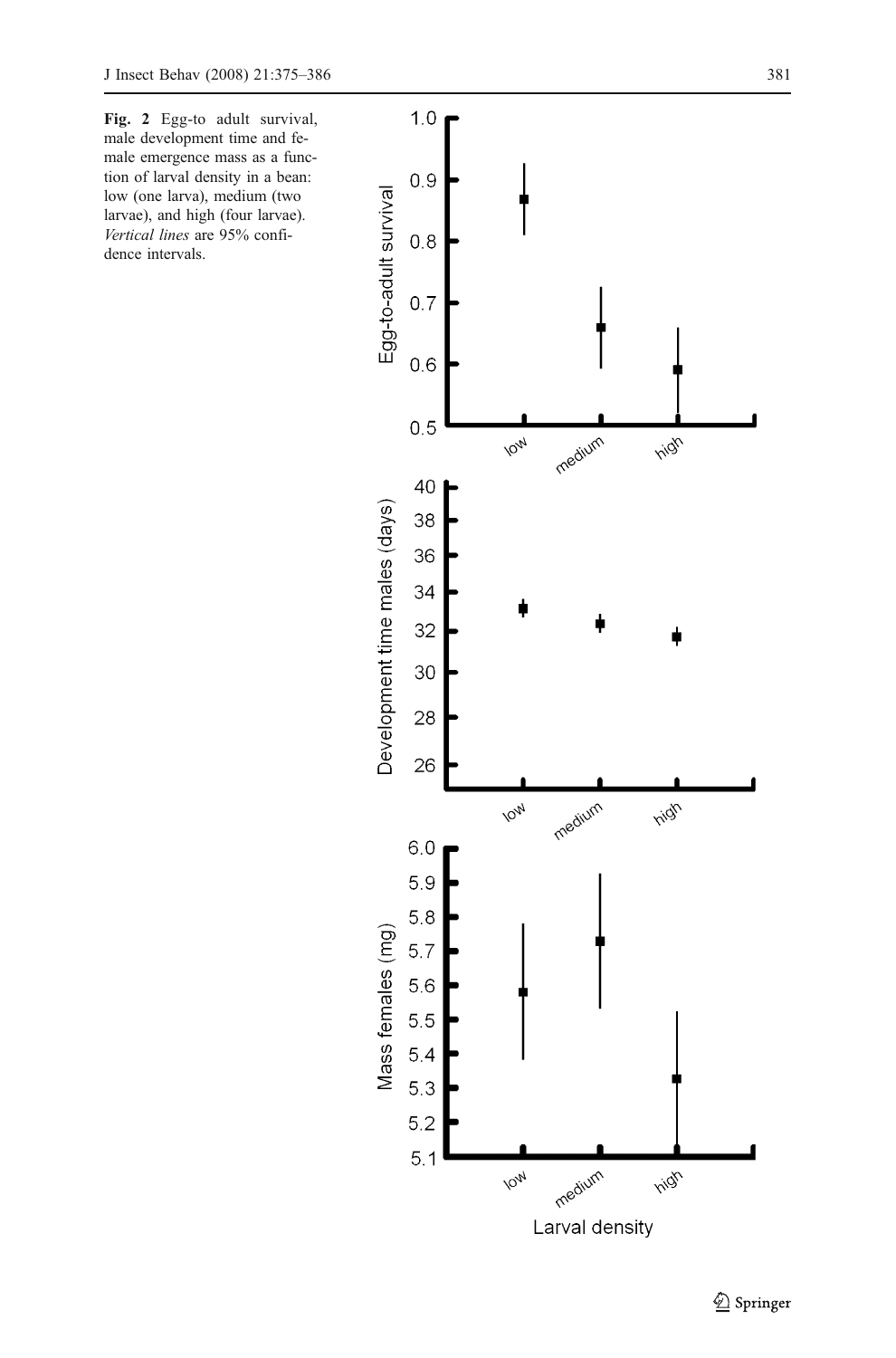<span id="page-6-0"></span>Fig. 2 Egg-to adult survival, male development time and female emergence mass as a function of larval density in a bean: low (one larva), medium (two larvae), and high (four larvae). Vertical lines are 95% confidence intervals.

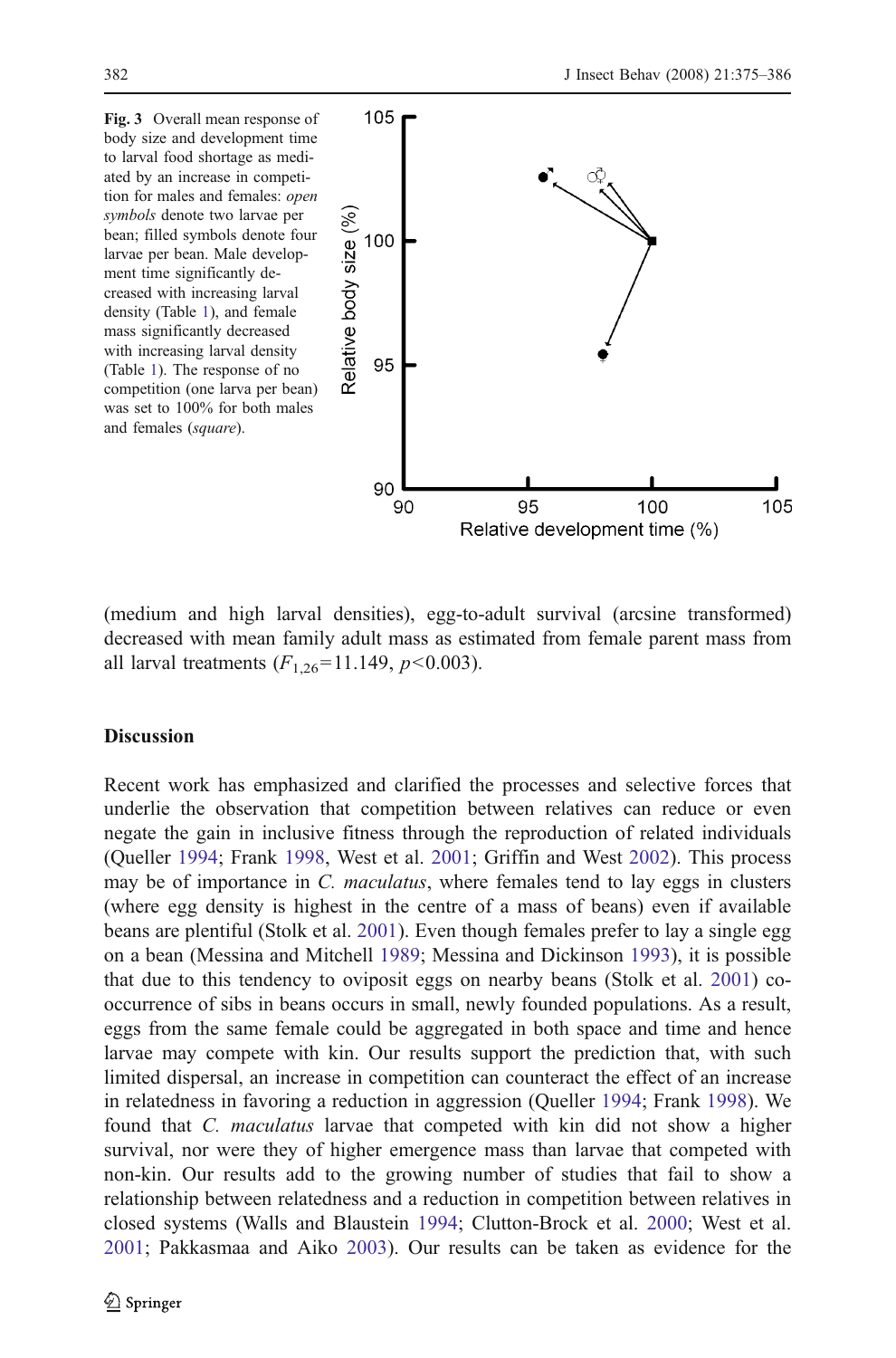<span id="page-7-0"></span>

(medium and high larval densities), egg-to-adult survival (arcsine transformed) decreased with mean family adult mass as estimated from female parent mass from all larval treatments  $(F_{1,26}=11.149, p<0.003)$ .

#### **Discussion**

Recent work has emphasized and clarified the processes and selective forces that underlie the observation that competition between relatives can reduce or even negate the gain in inclusive fitness through the reproduction of related individuals (Queller [1994](#page-10-0); Frank [1998,](#page-10-0) West et al. [2001;](#page-11-0) Griffin and West [2002\)](#page-10-0). This process may be of importance in C. *maculatus*, where females tend to lay eggs in clusters (where egg density is highest in the centre of a mass of beans) even if available beans are plentiful (Stolk et al. [2001](#page-11-0)). Even though females prefer to lay a single egg on a bean (Messina and Mitchell [1989](#page-10-0); Messina and Dickinson [1993](#page-10-0)), it is possible that due to this tendency to oviposit eggs on nearby beans (Stolk et al. [2001\)](#page-11-0) cooccurrence of sibs in beans occurs in small, newly founded populations. As a result, eggs from the same female could be aggregated in both space and time and hence larvae may compete with kin. Our results support the prediction that, with such limited dispersal, an increase in competition can counteract the effect of an increase in relatedness in favoring a reduction in aggression (Queller [1994;](#page-10-0) Frank [1998\)](#page-10-0). We found that C. maculatus larvae that competed with kin did not show a higher survival, nor were they of higher emergence mass than larvae that competed with non-kin. Our results add to the growing number of studies that fail to show a relationship between relatedness and a reduction in competition between relatives in closed systems (Walls and Blaustein [1994;](#page-11-0) Clutton-Brock et al. [2000](#page-9-0); West et al. [2001;](#page-11-0) Pakkasmaa and Aiko [2003](#page-10-0)). Our results can be taken as evidence for the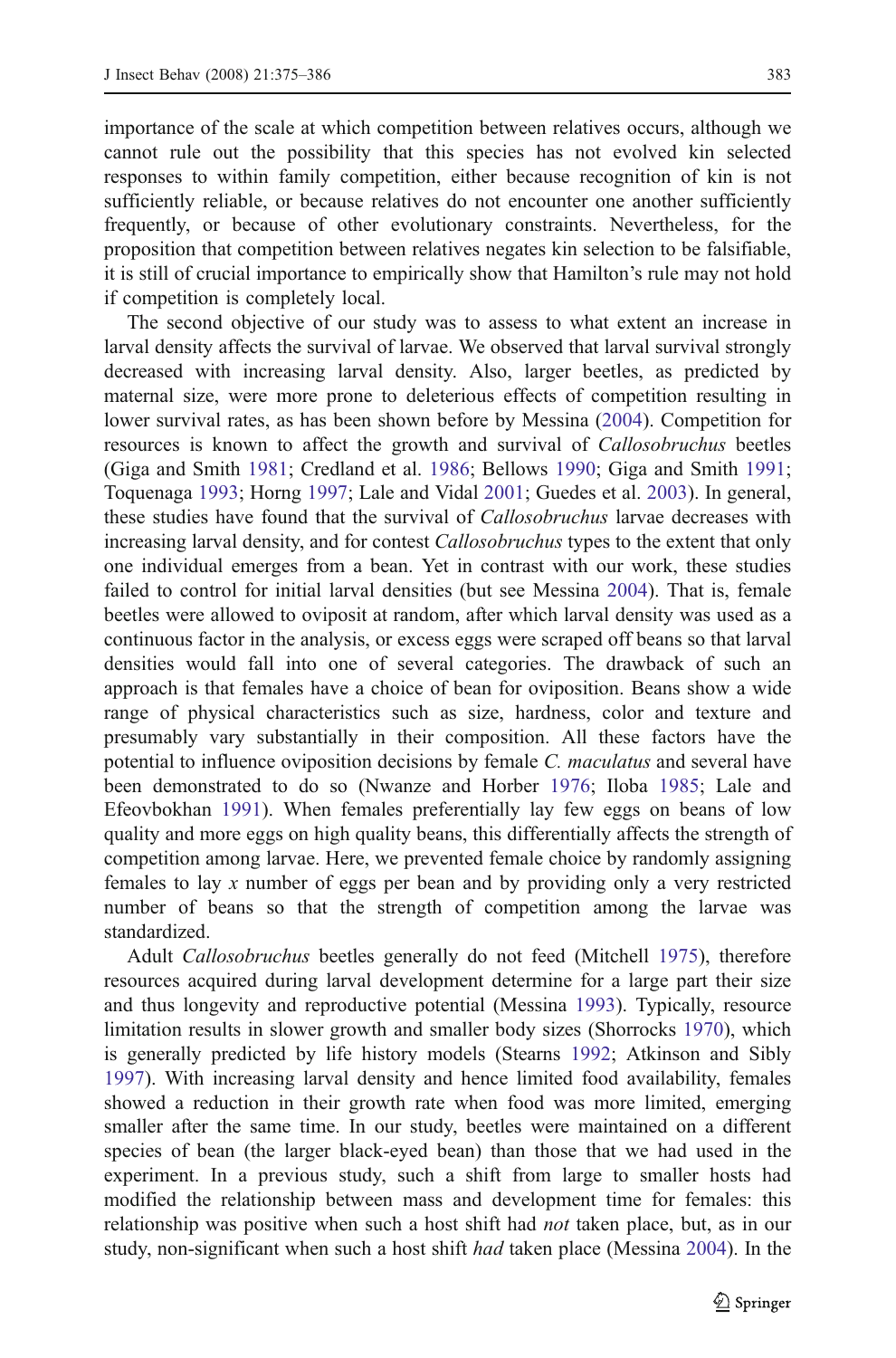importance of the scale at which competition between relatives occurs, although we cannot rule out the possibility that this species has not evolved kin selected responses to within family competition, either because recognition of kin is not sufficiently reliable, or because relatives do not encounter one another sufficiently frequently, or because of other evolutionary constraints. Nevertheless, for the proposition that competition between relatives negates kin selection to be falsifiable, it is still of crucial importance to empirically show that Hamilton's rule may not hold if competition is completely local.

The second objective of our study was to assess to what extent an increase in larval density affects the survival of larvae. We observed that larval survival strongly decreased with increasing larval density. Also, larger beetles, as predicted by maternal size, were more prone to deleterious effects of competition resulting in lower survival rates, as has been shown before by Messina [\(2004](#page-10-0)). Competition for resources is known to affect the growth and survival of Callosobruchus beetles (Giga and Smith [1981;](#page-10-0) Credland et al. [1986;](#page-9-0) Bellows [1990](#page-9-0); Giga and Smith [1991;](#page-10-0) Toquenaga [1993](#page-11-0); Horng [1997;](#page-10-0) Lale and Vidal [2001](#page-10-0); Guedes et al. [2003](#page-10-0)). In general, these studies have found that the survival of *Callosobruchus* larvae decreases with increasing larval density, and for contest *Callosobruchus* types to the extent that only one individual emerges from a bean. Yet in contrast with our work, these studies failed to control for initial larval densities (but see Messina [2004\)](#page-10-0). That is, female beetles were allowed to oviposit at random, after which larval density was used as a continuous factor in the analysis, or excess eggs were scraped off beans so that larval densities would fall into one of several categories. The drawback of such an approach is that females have a choice of bean for oviposition. Beans show a wide range of physical characteristics such as size, hardness, color and texture and presumably vary substantially in their composition. All these factors have the potential to influence oviposition decisions by female C. maculatus and several have been demonstrated to do so (Nwanze and Horber [1976;](#page-10-0) Iloba [1985](#page-10-0); Lale and Efeovbokhan [1991\)](#page-10-0). When females preferentially lay few eggs on beans of low quality and more eggs on high quality beans, this differentially affects the strength of competition among larvae. Here, we prevented female choice by randomly assigning females to lay x number of eggs per bean and by providing only a very restricted number of beans so that the strength of competition among the larvae was standardized.

Adult Callosobruchus beetles generally do not feed (Mitchell [1975\)](#page-10-0), therefore resources acquired during larval development determine for a large part their size and thus longevity and reproductive potential (Messina [1993](#page-10-0)). Typically, resource limitation results in slower growth and smaller body sizes (Shorrocks [1970](#page-11-0)), which is generally predicted by life history models (Stearns [1992;](#page-11-0) Atkinson and Sibly [1997\)](#page-9-0). With increasing larval density and hence limited food availability, females showed a reduction in their growth rate when food was more limited, emerging smaller after the same time. In our study, beetles were maintained on a different species of bean (the larger black-eyed bean) than those that we had used in the experiment. In a previous study, such a shift from large to smaller hosts had modified the relationship between mass and development time for females: this relationship was positive when such a host shift had *not* taken place, but, as in our study, non-significant when such a host shift had taken place (Messina [2004\)](#page-10-0). In the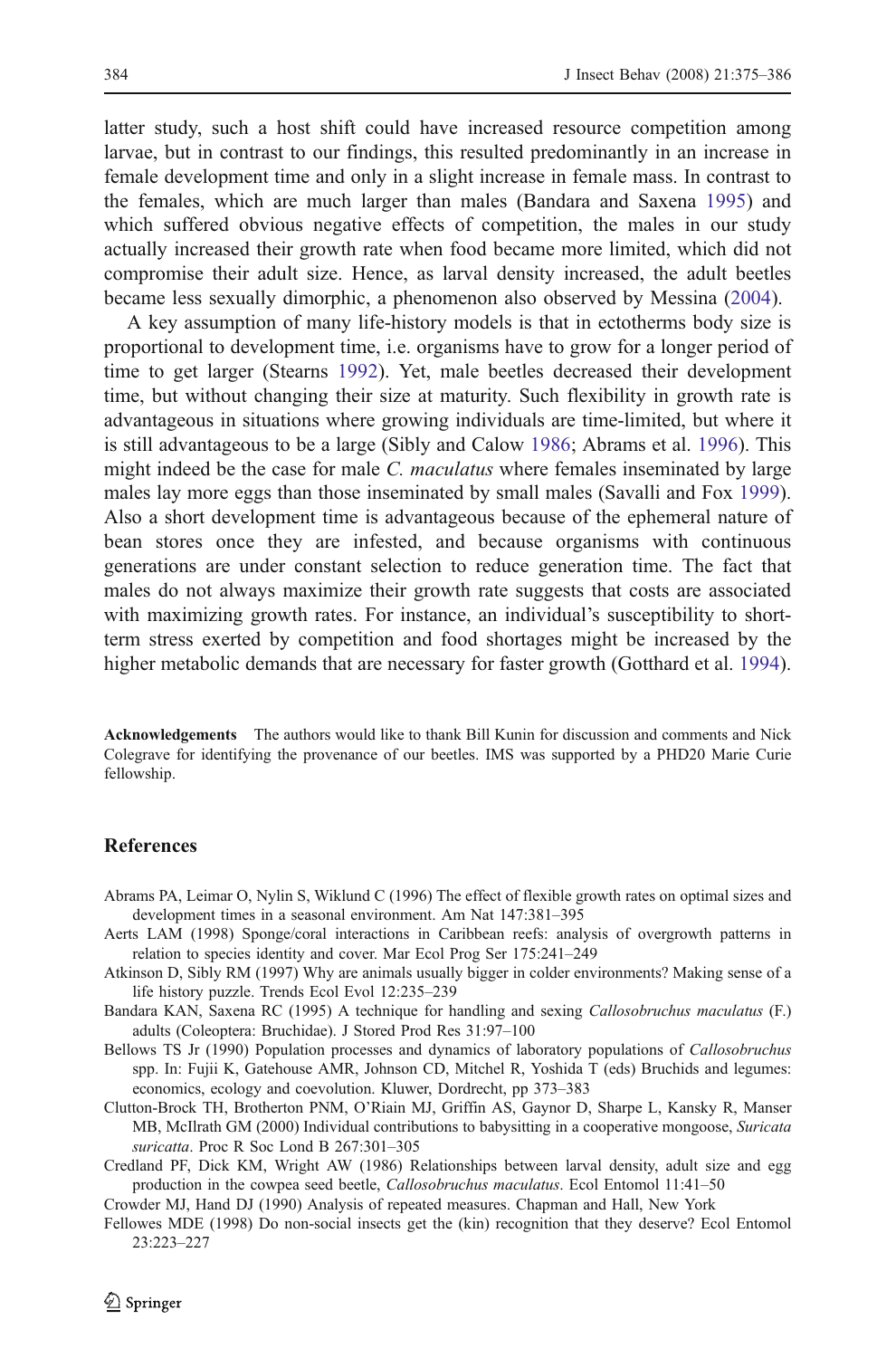<span id="page-9-0"></span>latter study, such a host shift could have increased resource competition among larvae, but in contrast to our findings, this resulted predominantly in an increase in female development time and only in a slight increase in female mass. In contrast to the females, which are much larger than males (Bandara and Saxena 1995) and which suffered obvious negative effects of competition, the males in our study actually increased their growth rate when food became more limited, which did not compromise their adult size. Hence, as larval density increased, the adult beetles became less sexually dimorphic, a phenomenon also observed by Messina ([2004](#page-10-0)).

A key assumption of many life-history models is that in ectotherms body size is proportional to development time, i.e. organisms have to grow for a longer period of time to get larger (Stearns [1992\)](#page-11-0). Yet, male beetles decreased their development time, but without changing their size at maturity. Such flexibility in growth rate is advantageous in situations where growing individuals are time-limited, but where it is still advantageous to be a large (Sibly and Calow [1986](#page-11-0); Abrams et al. 1996). This might indeed be the case for male C. maculatus where females inseminated by large males lay more eggs than those inseminated by small males (Savalli and Fox [1999\)](#page-11-0). Also a short development time is advantageous because of the ephemeral nature of bean stores once they are infested, and because organisms with continuous generations are under constant selection to reduce generation time. The fact that males do not always maximize their growth rate suggests that costs are associated with maximizing growth rates. For instance, an individual's susceptibility to shortterm stress exerted by competition and food shortages might be increased by the higher metabolic demands that are necessary for faster growth (Gotthard et al. [1994\)](#page-10-0).

Acknowledgements The authors would like to thank Bill Kunin for discussion and comments and Nick Colegrave for identifying the provenance of our beetles. IMS was supported by a PHD20 Marie Curie fellowship.

## References

- Abrams PA, Leimar O, Nylin S, Wiklund C (1996) The effect of flexible growth rates on optimal sizes and development times in a seasonal environment. Am Nat 147:381–395
- Aerts LAM (1998) Sponge/coral interactions in Caribbean reefs: analysis of overgrowth patterns in relation to species identity and cover. Mar Ecol Prog Ser 175:241–249
- Atkinson D, Sibly RM (1997) Why are animals usually bigger in colder environments? Making sense of a life history puzzle. Trends Ecol Evol 12:235–239
- Bandara KAN, Saxena RC (1995) A technique for handling and sexing Callosobruchus maculatus (F.) adults (Coleoptera: Bruchidae). J Stored Prod Res 31:97–100
- Bellows TS Jr (1990) Population processes and dynamics of laboratory populations of Callosobruchus spp. In: Fujii K, Gatehouse AMR, Johnson CD, Mitchel R, Yoshida T (eds) Bruchids and legumes: economics, ecology and coevolution. Kluwer, Dordrecht, pp 373–383
- Clutton-Brock TH, Brotherton PNM, O'Riain MJ, Griffin AS, Gaynor D, Sharpe L, Kansky R, Manser MB, McIlrath GM (2000) Individual contributions to babysitting in a cooperative mongoose, Suricata suricatta. Proc R Soc Lond B 267:301–305
- Credland PF, Dick KM, Wright AW (1986) Relationships between larval density, adult size and egg production in the cowpea seed beetle, Callosobruchus maculatus. Ecol Entomol 11:41–50
- Crowder MJ, Hand DJ (1990) Analysis of repeated measures. Chapman and Hall, New York
- Fellowes MDE (1998) Do non-social insects get the (kin) recognition that they deserve? Ecol Entomol 23:223–227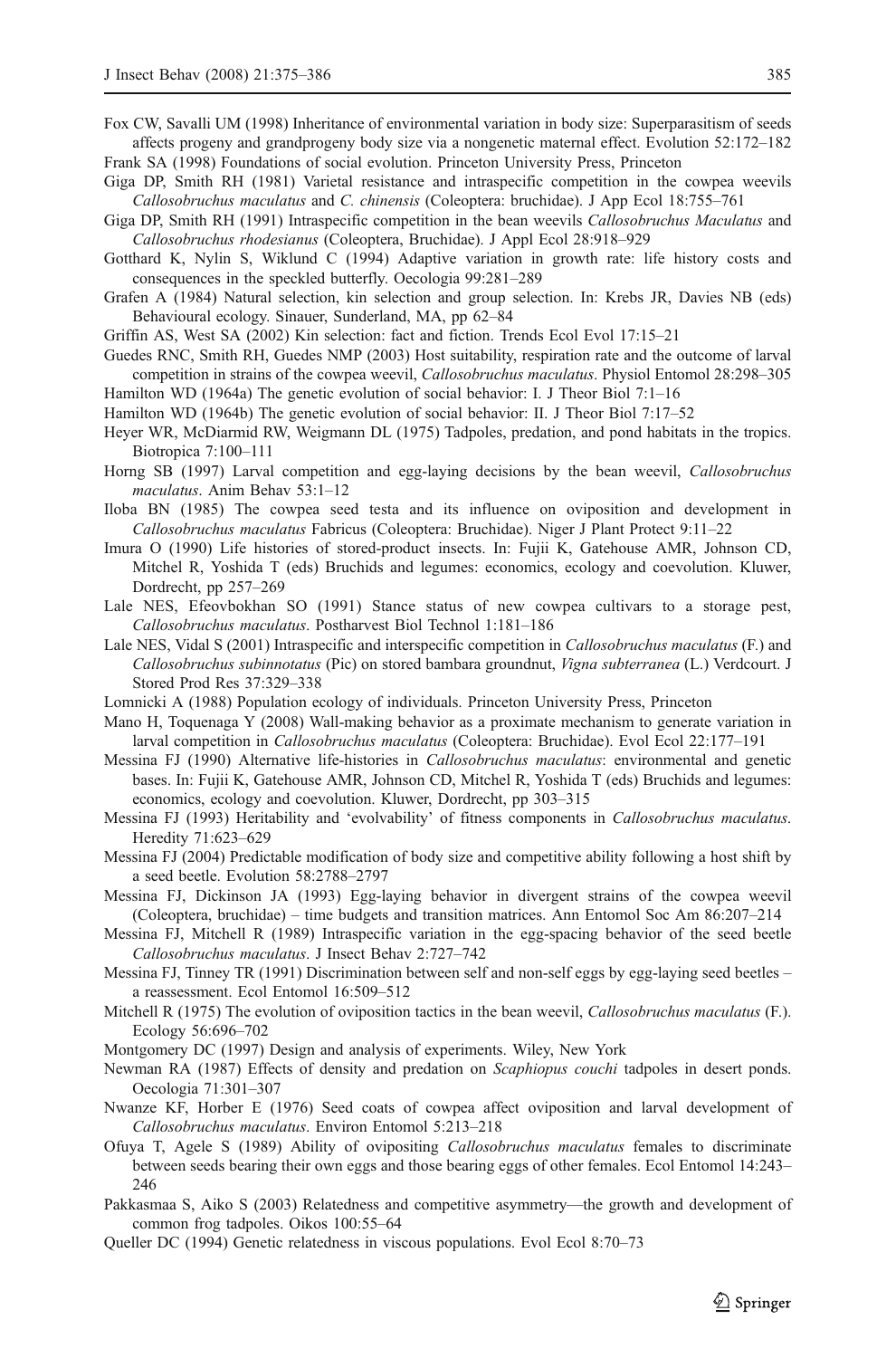<span id="page-10-0"></span>Fox CW, Savalli UM (1998) Inheritance of environmental variation in body size: Superparasitism of seeds affects progeny and grandprogeny body size via a nongenetic maternal effect. Evolution 52:172–182 Frank SA (1998) Foundations of social evolution. Princeton University Press, Princeton

- Giga DP, Smith RH (1981) Varietal resistance and intraspecific competition in the cowpea weevils Callosobruchus maculatus and C. chinensis (Coleoptera: bruchidae). J App Ecol 18:755–761
- Giga DP, Smith RH (1991) Intraspecific competition in the bean weevils Callosobruchus Maculatus and Callosobruchus rhodesianus (Coleoptera, Bruchidae). J Appl Ecol 28:918–929
- Gotthard K, Nylin S, Wiklund C (1994) Adaptive variation in growth rate: life history costs and consequences in the speckled butterfly. Oecologia 99:281–289
- Grafen A (1984) Natural selection, kin selection and group selection. In: Krebs JR, Davies NB (eds) Behavioural ecology. Sinauer, Sunderland, MA, pp 62–84
- Griffin AS, West SA (2002) Kin selection: fact and fiction. Trends Ecol Evol 17:15–21
- Guedes RNC, Smith RH, Guedes NMP (2003) Host suitability, respiration rate and the outcome of larval competition in strains of the cowpea weevil, Callosobruchus maculatus. Physiol Entomol 28:298–305 Hamilton WD (1964a) The genetic evolution of social behavior: I. J Theor Biol 7:1–16
- Hamilton WD (1964b) The genetic evolution of social behavior: II. J Theor Biol 7:17–52
- Heyer WR, McDiarmid RW, Weigmann DL (1975) Tadpoles, predation, and pond habitats in the tropics. Biotropica 7:100–111
- Horng SB (1997) Larval competition and egg-laying decisions by the bean weevil, Callosobruchus maculatus. Anim Behav 53:1–12
- Iloba BN (1985) The cowpea seed testa and its influence on oviposition and development in Callosobruchus maculatus Fabricus (Coleoptera: Bruchidae). Niger J Plant Protect 9:11–22
- Imura O (1990) Life histories of stored-product insects. In: Fujii K, Gatehouse AMR, Johnson CD, Mitchel R, Yoshida T (eds) Bruchids and legumes: economics, ecology and coevolution. Kluwer, Dordrecht, pp 257–269
- Lale NES, Efeovbokhan SO (1991) Stance status of new cowpea cultivars to a storage pest, Callosobruchus maculatus. Postharvest Biol Technol 1:181–186
- Lale NES, Vidal S (2001) Intraspecific and interspecific competition in Callosobruchus maculatus (F.) and Callosobruchus subinnotatus (Pic) on stored bambara groundnut, Vigna subterranea (L.) Verdcourt. J Stored Prod Res 37:329–338
- Lomnicki A (1988) Population ecology of individuals. Princeton University Press, Princeton
- Mano H, Toquenaga Y (2008) Wall-making behavior as a proximate mechanism to generate variation in larval competition in Callosobruchus maculatus (Coleoptera: Bruchidae). Evol Ecol 22:177–191
- Messina FJ (1990) Alternative life-histories in Callosobruchus maculatus: environmental and genetic bases. In: Fujii K, Gatehouse AMR, Johnson CD, Mitchel R, Yoshida T (eds) Bruchids and legumes: economics, ecology and coevolution. Kluwer, Dordrecht, pp 303–315
- Messina FJ (1993) Heritability and 'evolvability' of fitness components in *Callosobruchus maculatus*. Heredity 71:623–629
- Messina FJ (2004) Predictable modification of body size and competitive ability following a host shift by a seed beetle. Evolution 58:2788–2797
- Messina FJ, Dickinson JA (1993) Egg-laying behavior in divergent strains of the cowpea weevil (Coleoptera, bruchidae) – time budgets and transition matrices. Ann Entomol Soc Am 86:207–214
- Messina FJ, Mitchell R (1989) Intraspecific variation in the egg-spacing behavior of the seed beetle Callosobruchus maculatus. J Insect Behav 2:727–742
- Messina FJ, Tinney TR (1991) Discrimination between self and non-self eggs by egg-laying seed beetles a reassessment. Ecol Entomol 16:509–512
- Mitchell R (1975) The evolution of oviposition tactics in the bean weevil, *Callosobruchus maculatus* (F.). Ecology 56:696–702
- Montgomery DC (1997) Design and analysis of experiments. Wiley, New York
- Newman RA (1987) Effects of density and predation on Scaphiopus couchi tadpoles in desert ponds. Oecologia 71:301–307
- Nwanze KF, Horber E (1976) Seed coats of cowpea affect oviposition and larval development of Callosobruchus maculatus. Environ Entomol 5:213–218
- Ofuya T, Agele S (1989) Ability of ovipositing Callosobruchus maculatus females to discriminate between seeds bearing their own eggs and those bearing eggs of other females. Ecol Entomol 14:243– 246
- Pakkasmaa S, Aiko S (2003) Relatedness and competitive asymmetry—the growth and development of common frog tadpoles. Oikos 100:55–64
- Queller DC (1994) Genetic relatedness in viscous populations. Evol Ecol 8:70–73